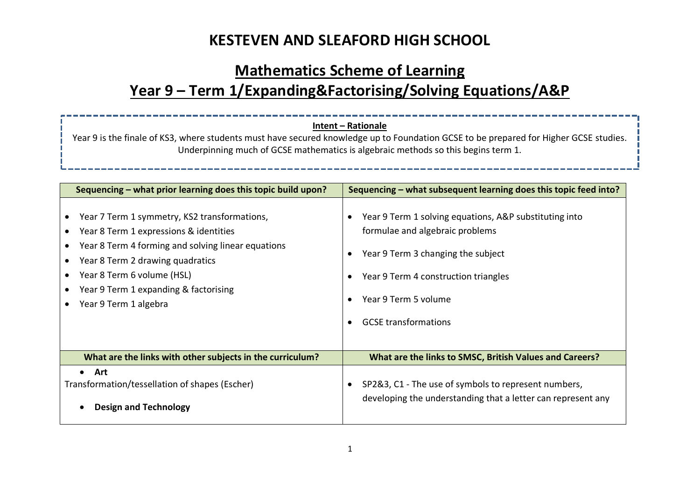## **Mathematics Scheme of Learning Year 9 – Term 1/Expanding&Factorising/Solving Equations/A&P**

#### **Intent – Rationale**

Year 9 is the finale of KS3, where students must have secured knowledge up to Foundation GCSE to be prepared for Higher GCSE studies. Underpinning much of GCSE mathematics is algebraic methods so this begins term 1.

| Sequencing – what prior learning does this topic build upon?                                                                                                                                                                                                                                  | Sequencing – what subsequent learning does this topic feed into?                                                                                                                                                               |
|-----------------------------------------------------------------------------------------------------------------------------------------------------------------------------------------------------------------------------------------------------------------------------------------------|--------------------------------------------------------------------------------------------------------------------------------------------------------------------------------------------------------------------------------|
| Year 7 Term 1 symmetry, KS2 transformations,<br>Year 8 Term 1 expressions & identities<br>Year 8 Term 4 forming and solving linear equations<br>Year 8 Term 2 drawing quadratics<br>Year 8 Term 6 volume (HSL)<br>Year 9 Term 1 expanding & factorising<br>Year 9 Term 1 algebra<br>$\bullet$ | Year 9 Term 1 solving equations, A&P substituting into<br>formulae and algebraic problems<br>Year 9 Term 3 changing the subject<br>Year 9 Term 4 construction triangles<br>Year 9 Term 5 volume<br><b>GCSE</b> transformations |
| What are the links with other subjects in the curriculum?                                                                                                                                                                                                                                     | What are the links to SMSC, British Values and Careers?                                                                                                                                                                        |
| • Art<br>Transformation/tessellation of shapes (Escher)<br><b>Design and Technology</b>                                                                                                                                                                                                       | SP2&3, C1 - The use of symbols to represent numbers,<br>developing the understanding that a letter can represent any                                                                                                           |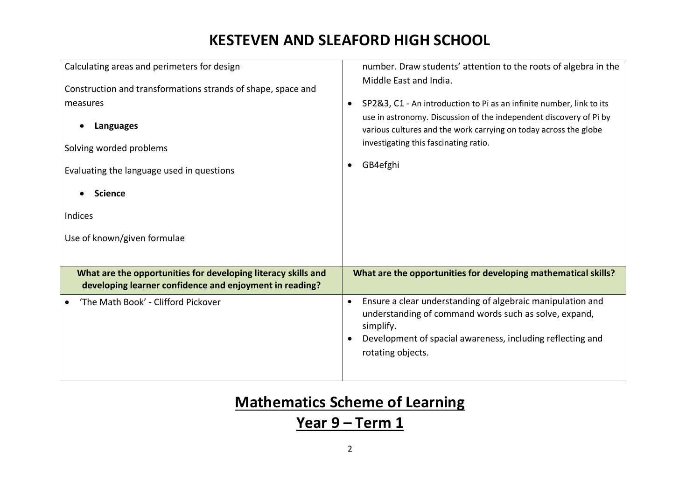| Calculating areas and perimeters for design<br>Construction and transformations strands of shape, space and<br>measures<br>Languages<br>Solving worded problems<br>Evaluating the language used in questions<br><b>Science</b><br>Indices<br>Use of known/given formulae | number. Draw students' attention to the roots of algebra in the<br>Middle East and India.<br>SP2&3, C1 - An introduction to Pi as an infinite number, link to its<br>use in astronomy. Discussion of the independent discovery of Pi by<br>various cultures and the work carrying on today across the globe<br>investigating this fascinating ratio.<br>GB4efghi |
|--------------------------------------------------------------------------------------------------------------------------------------------------------------------------------------------------------------------------------------------------------------------------|------------------------------------------------------------------------------------------------------------------------------------------------------------------------------------------------------------------------------------------------------------------------------------------------------------------------------------------------------------------|
| What are the opportunities for developing literacy skills and<br>developing learner confidence and enjoyment in reading?                                                                                                                                                 | What are the opportunities for developing mathematical skills?                                                                                                                                                                                                                                                                                                   |
| 'The Math Book' - Clifford Pickover                                                                                                                                                                                                                                      | Ensure a clear understanding of algebraic manipulation and<br>$\bullet$<br>understanding of command words such as solve, expand,<br>simplify.<br>Development of spacial awareness, including reflecting and<br>rotating objects.                                                                                                                                 |

# **Mathematics Scheme of Learning**

### **Year 9 – Term 1**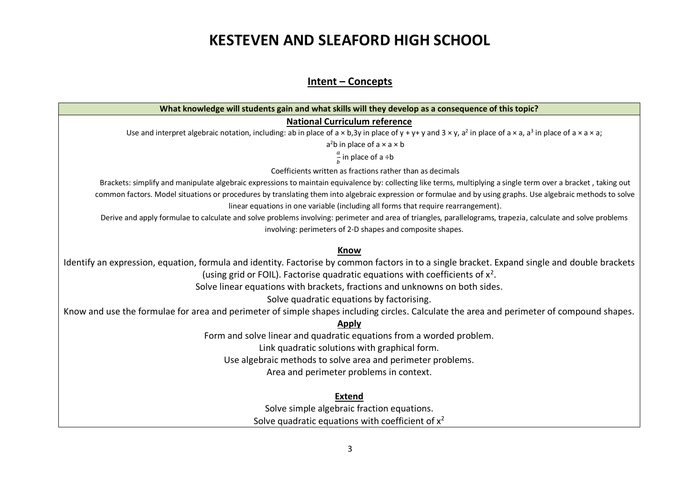#### **Intent – Concepts**

| What knowledge will students gain and what skills will they develop as a consequence of this topic?                                                                                                                       |
|---------------------------------------------------------------------------------------------------------------------------------------------------------------------------------------------------------------------------|
| <b>National Curriculum reference</b>                                                                                                                                                                                      |
| Use and interpret algebraic notation, including: ab in place of $a \times b$ , 3y in place of $y + y + y$ and $3 \times y$ , a <sup>2</sup> in place of $a \times a$ , a <sup>3</sup> in place of $a \times a \times a$ ; |
| $a2b$ in place of $a \times a \times b$                                                                                                                                                                                   |
| $\frac{a}{b}$ in place of a ÷b                                                                                                                                                                                            |
| Coefficients written as fractions rather than as decimals                                                                                                                                                                 |
| Brackets: simplify and manipulate algebraic expressions to maintain equivalence by: collecting like terms, multiplying a single term over a bracket, taking out                                                           |
| common factors. Model situations or procedures by translating them into algebraic expression or formulae and by using graphs. Use algebraic methods to solve                                                              |
| linear equations in one variable (including all forms that require rearrangement).                                                                                                                                        |
| Derive and apply formulae to calculate and solve problems involving: perimeter and area of triangles, parallelograms, trapezia, calculate and solve problems                                                              |
| involving: perimeters of 2-D shapes and composite shapes.                                                                                                                                                                 |
| <b>Know</b>                                                                                                                                                                                                               |
| Identify an expression, equation, formula and identity. Factorise by common factors in to a single bracket. Expand single and double brackets                                                                             |
| (using grid or FOIL). Factorise quadratic equations with coefficients of $x^2$ .                                                                                                                                          |
| Solve linear equations with brackets, fractions and unknowns on both sides.                                                                                                                                               |
| Solve quadratic equations by factorising.                                                                                                                                                                                 |
| Know and use the formulae for area and perimeter of simple shapes including circles. Calculate the area and perimeter of compound shapes.                                                                                 |
| <b>Apply</b>                                                                                                                                                                                                              |
| Form and solve linear and quadratic equations from a worded problem.                                                                                                                                                      |
| Link quadratic solutions with graphical form.                                                                                                                                                                             |
| Use algebraic methods to solve area and perimeter problems.                                                                                                                                                               |
| Area and perimeter problems in context.                                                                                                                                                                                   |
| <b>Extend</b>                                                                                                                                                                                                             |
| Solve simple algebraic fraction equations.                                                                                                                                                                                |
| Solve quadratic equations with coefficient of $x^2$                                                                                                                                                                       |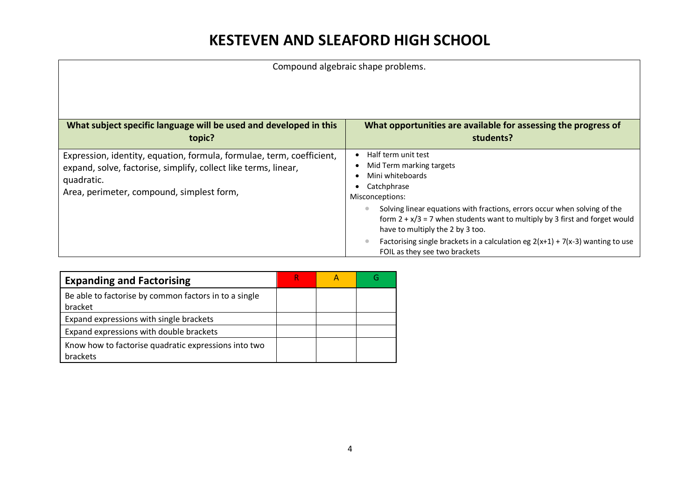Compound algebraic shape problems. **What subject specific language will be used and developed in this topic? What opportunities are available for assessing the progress of students?** Expression, identity, equation, formula, formulae, term, coefficient, expand, solve, factorise, simplify, collect like terms, linear, quadratic. Area, perimeter, compound, simplest form, • Half term unit test • Mid Term marking targets • Mini whiteboards • Catchphrase Misconceptions: • Solving linear equations with fractions, errors occur when solving of the form  $2 + x/3 = 7$  when students want to multiply by 3 first and forget would have to multiply the 2 by 3 too. • Factorising single brackets in a calculation eg  $2(x+1) + 7(x-3)$  wanting to use FOIL as they see two brackets

| <b>Expanding and Factorising</b>                                 | R |  |
|------------------------------------------------------------------|---|--|
| Be able to factorise by common factors in to a single<br>bracket |   |  |
| Expand expressions with single brackets                          |   |  |
| Expand expressions with double brackets                          |   |  |
| Know how to factorise quadratic expressions into two<br>brackets |   |  |